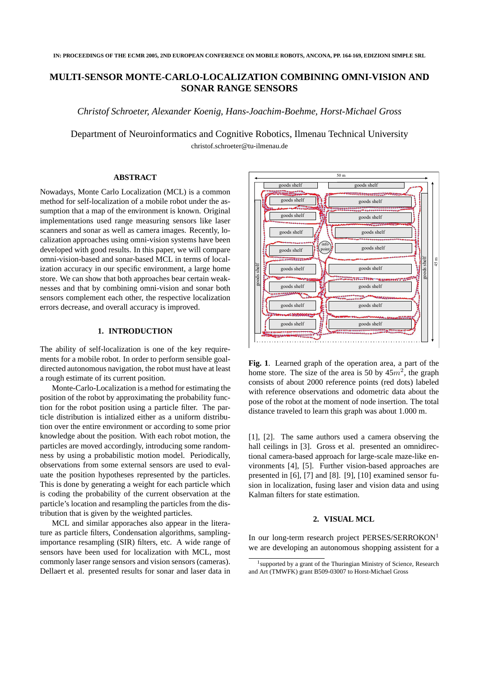# **MULTI-SENSOR MONTE-CARLO-LOCALIZATION COMBINING OMNI-VISION AND SONAR RANGE SENSORS**

*Christof Schroeter, Alexander Koenig, Hans-Joachim-Boehme, Horst-Michael Gross*

Department of Neuroinformatics and Cognitive Robotics, Ilmenau Technical University christof.schroeter@tu-ilmenau.de

#### **ABSTRACT**

Nowadays, Monte Carlo Localization (MCL) is a common method for self-localization of a mobile robot under the assumption that a map of the environment is known. Original implementations used range measuring sensors like laser scanners and sonar as well as camera images. Recently, localization approaches using omni-vision systems have been developed with good results. In this paper, we will compare omni-vision-based and sonar-based MCL in terms of localization accuracy in our specific environment, a large home store. We can show that both approaches bear certain weaknesses and that by combining omni-vision and sonar both sensors complement each other, the respective localization errors decrease, and overall accuracy is improved.

## **1. INTRODUCTION**

The ability of self-localization is one of the key requirements for a mobile robot. In order to perform sensible goaldirected autonomous navigation, the robot must have at least a rough estimate of its current position.

Monte-Carlo-Localization is a method for estimating the position of the robot by approximating the probability function for the robot position using a particle filter. The particle distribution is intialized either as a uniform distribution over the entire environment or according to some prior knowledge about the position. With each robot motion, the particles are moved accordingly, introducing some randomness by using a probabilistic motion model. Periodically, observations from some external sensors are used to evaluate the position hypotheses represented by the particles. This is done by generating a weight for each particle which is coding the probability of the current observation at the particle's location and resampling the particles from the distribution that is given by the weighted particles.

MCL and similar apporaches also appear in the literature as particle filters, Condensation algorithms, samplingimportance resampling (SIR) filters, etc. A wide range of sensors have been used for localization with MCL, most commonly laser range sensors and vision sensors (cameras). Dellaert et al. presented results for sonar and laser data in



**Fig. 1**. Learned graph of the operation area, a part of the home store. The size of the area is 50 by  $45m^2$ , the graph consists of about 2000 reference points (red dots) labeled with reference observations and odometric data about the pose of the robot at the moment of node insertion. The total distance traveled to learn this graph was about 1.000 m.

[1], [2]. The same authors used a camera observing the hall ceilings in [3]. Gross et al. presented an omnidirectional camera-based approach for large-scale maze-like environments [4], [5]. Further vision-based approaches are presented in [6], [7] and [8]. [9], [10] examined sensor fusion in localization, fusing laser and vision data and using Kalman filters for state estimation.

### **2. VISUAL MCL**

In our long-term research project PERSES/SERROKON<sup>1</sup> we are developing an autonomous shopping assistent for a

<sup>&</sup>lt;sup>1</sup> supported by a grant of the Thuringian Ministry of Science, Research and Art (TMWFK) grant B509-03007 to Horst-Michael Gross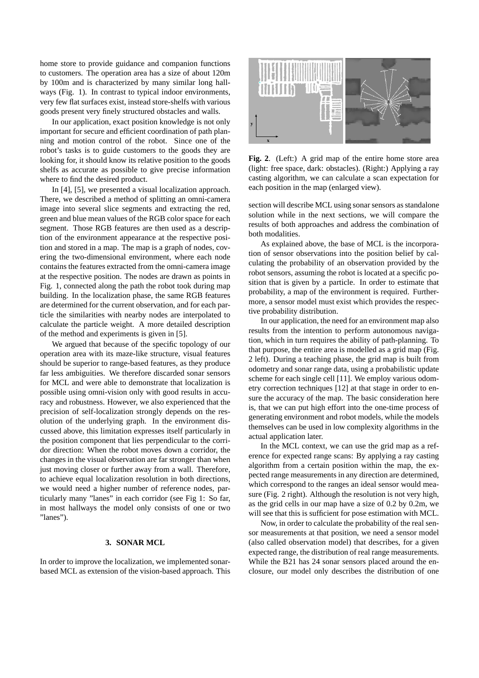home store to provide guidance and companion functions to customers. The operation area has a size of about 120m by 100m and is characterized by many similar long hallways (Fig. 1). In contrast to typical indoor environments, very few flat surfaces exist, instead store-shelfs with various goods present very finely structured obstacles and walls.

In our application, exact position knowledge is not only important for secure and efficient coordination of path planning and motion control of the robot. Since one of the robot's tasks is to guide customers to the goods they are looking for, it should know its relative position to the goods shelfs as accurate as possible to give precise information where to find the desired product.

In [4], [5], we presented a visual localization approach. There, we described a method of splitting an omni-camera image into several slice segments and extracting the red, green and blue mean values of the RGB color space for each segment. Those RGB features are then used as a description of the environment appearance at the respective position and stored in a map. The map is a graph of nodes, covering the two-dimensional environment, where each node contains the features extracted from the omni-camera image at the respective position. The nodes are drawn as points in Fig. 1, connected along the path the robot took during map building. In the localization phase, the same RGB features are determined for the current observation, and for each particle the similarities with nearby nodes are interpolated to calculate the particle weight. A more detailed description of the method and experiments is given in [5].

We argued that because of the specific topology of our operation area with its maze-like structure, visual features should be superior to range-based features, as they produce far less ambiguities. We therefore discarded sonar sensors for MCL and were able to demonstrate that localization is possible using omni-vision only with good results in accuracy and robustness. However, we also experienced that the precision of self-localization strongly depends on the resolution of the underlying graph. In the environment discussed above, this limitation expresses itself particularly in the position component that lies perpendicular to the corridor direction: When the robot moves down a corridor, the changes in the visual observation are far stronger than when just moving closer or further away from a wall. Therefore, to achieve equal localization resolution in both directions, we would need a higher number of reference nodes, particularly many "lanes" in each corridor (see Fig 1: So far, in most hallways the model only consists of one or two "lanes").

# **3. SONAR MCL**

In order to improve the localization, we implemented sonarbased MCL as extension of the vision-based approach. This



**Fig. 2**. (Left:) A grid map of the entire home store area (light: free space, dark: obstacles). (Right:) Applying a ray casting algorithm, we can calculate a scan expectation for each position in the map (enlarged view).

section will describe MCL using sonar sensors as standalone solution while in the next sections, we will compare the results of both approaches and address the combination of both modalities.

As explained above, the base of MCL is the incorporation of sensor observations into the position belief by calculating the probability of an observation provided by the robot sensors, assuming the robot is located at a specific position that is given by a particle. In order to estimate that probability, a map of the environment is required. Furthermore, a sensor model must exist which provides the respective probability distribution.

In our application, the need for an environment map also results from the intention to perform autonomous navigation, which in turn requires the ability of path-planning. To that purpose, the entire area is modelled as a grid map (Fig. 2 left). During a teaching phase, the grid map is built from odometry and sonar range data, using a probabilistic update scheme for each single cell [11]. We employ various odometry correction techniques [12] at that stage in order to ensure the accuracy of the map. The basic consideration here is, that we can put high effort into the one-time process of generating environment and robot models, while the models themselves can be used in low complexity algorithms in the actual application later.

In the MCL context, we can use the grid map as a reference for expected range scans: By applying a ray casting algorithm from a certain position within the map, the expected range measurements in any direction are determined, which correspond to the ranges an ideal sensor would measure (Fig. 2 right). Although the resolution is not very high, as the grid cells in our map have a size of 0.2 by 0.2m, we will see that this is sufficient for pose estimation with MCL.

Now, in order to calculate the probability of the real sensor measurements at that position, we need a sensor model (also called observation model) that describes, for a given expected range, the distribution of real range measurements. While the B21 has 24 sonar sensors placed around the enclosure, our model only describes the distribution of one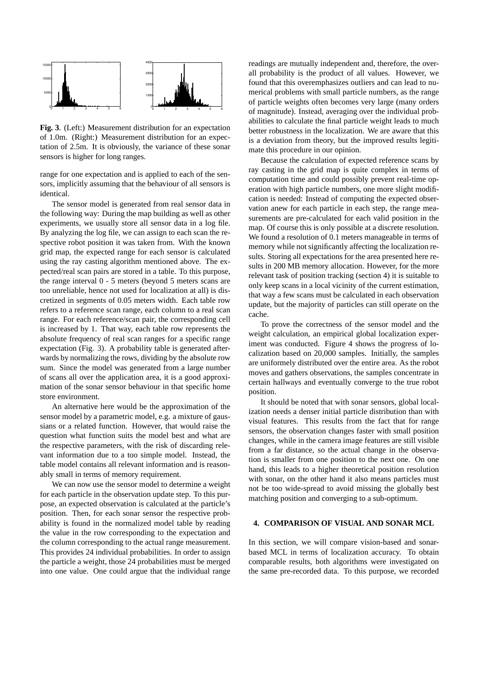

**Fig. 3**. (Left:) Measurement distribution for an expectation of 1.0m. (Right:) Measurement distribution for an expectation of 2.5m. It is obviously, the variance of these sonar sensors is higher for long ranges.

range for one expectation and is applied to each of the sensors, implicitly assuming that the behaviour of all sensors is identical.

The sensor model is generated from real sensor data in the following way: During the map building as well as other experiments, we usually store all sensor data in a log file. By analyzing the log file, we can assign to each scan the respective robot position it was taken from. With the known grid map, the expected range for each sensor is calculated using the ray casting algorithm mentioned above. The expected/real scan pairs are stored in a table. To this purpose, the range interval 0 - 5 meters (beyond 5 meters scans are too unreliable, hence not used for localization at all) is discretized in segments of 0.05 meters width. Each table row refers to a reference scan range, each column to a real scan range. For each reference/scan pair, the corresponding cell is increased by 1. That way, each table row represents the absolute frequency of real scan ranges for a specific range expectation (Fig. 3). A probability table is generated afterwards by normalizing the rows, dividing by the absolute row sum. Since the model was generated from a large number of scans all over the application area, it is a good approximation of the sonar sensor behaviour in that specific home store environment.

An alternative here would be the approximation of the sensor model by a parametric model, e.g. a mixture of gaussians or a related function. However, that would raise the question what function suits the model best and what are the respective parameters, with the risk of discarding relevant information due to a too simple model. Instead, the table model contains all relevant information and is reasonably small in terms of memory requirement.

We can now use the sensor model to determine a weight for each particle in the observation update step. To this purpose, an expected observation is calculated at the particle's position. Then, for each sonar sensor the respective probability is found in the normalized model table by reading the value in the row corresponding to the expectation and the column corresponding to the actual range measurement. This provides 24 individual probabilities. In order to assign the particle a weight, those 24 probabilities must be merged into one value. One could argue that the individual range readings are mutually independent and, therefore, the overall probability is the product of all values. However, we found that this overemphasizes outliers and can lead to numerical problems with small particle numbers, as the range of particle weights often becomes very large (many orders of magnitude). Instead, averaging over the individual probabilities to calculate the final particle weight leads to much better robustness in the localization. We are aware that this is a deviation from theory, but the improved results legitimate this procedure in our opinion.

Because the calculation of expected reference scans by ray casting in the grid map is quite complex in terms of computation time and could possibly prevent real-time operation with high particle numbers, one more slight modification is needed: Instead of computing the expected observation anew for each particle in each step, the range measurements are pre-calculated for each valid position in the map. Of course this is only possible at a discrete resolution. We found a resolution of 0.1 meters manageable in terms of memory while not significantly affecting the localization results. Storing all expectations for the area presented here results in 200 MB memory allocation. However, for the more relevant task of position tracking (section 4) it is suitable to only keep scans in a local vicinity of the current estimation, that way a few scans must be calculated in each observation update, but the majority of particles can still operate on the cache.

To prove the correctness of the sensor model and the weight calculation, an empirical global localization experiment was conducted. Figure 4 shows the progress of localization based on 20,000 samples. Initially, the samples are uniformely distributed over the entire area. As the robot moves and gathers observations, the samples concentrate in certain hallways and eventually converge to the true robot position.

It should be noted that with sonar sensors, global localization needs a denser initial particle distribution than with visual features. This results from the fact that for range sensors, the observation changes faster with small position changes, while in the camera image features are still visible from a far distance, so the actual change in the observation is smaller from one position to the next one. On one hand, this leads to a higher theoretical position resolution with sonar, on the other hand it also means particles must not be too wide-spread to avoid missing the globally best matching position and converging to a sub-optimum.

### **4. COMPARISON OF VISUAL AND SONAR MCL**

In this section, we will compare vision-based and sonarbased MCL in terms of localization accuracy. To obtain comparable results, both algorithms were investigated on the same pre-recorded data. To this purpose, we recorded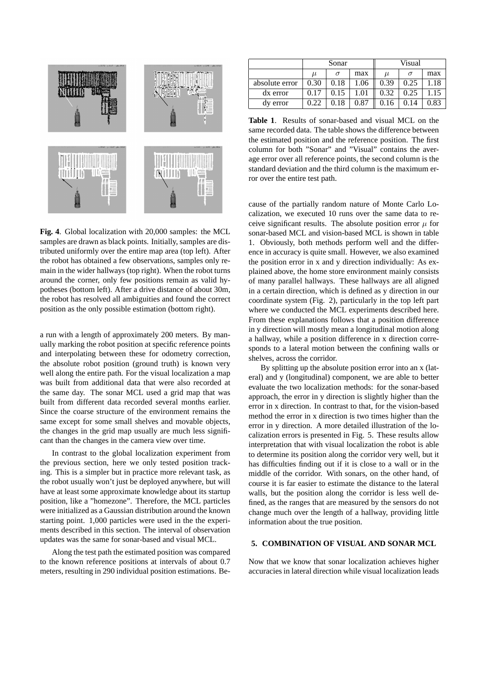

**Fig. 4**. Global localization with 20,000 samples: the MCL samples are drawn as black points. Initially, samples are distributed uniformly over the entire map area (top left). After the robot has obtained a few observations, samples only remain in the wider hallways (top right). When the robot turns around the corner, only few positions remain as valid hypotheses (bottom left). After a drive distance of about 30m, the robot has resolved all ambiguities and found the correct position as the only possible estimation (bottom right).

a run with a length of approximately 200 meters. By manually marking the robot position at specific reference points and interpolating between these for odometry correction, the absolute robot position (ground truth) is known very well along the entire path. For the visual localization a map was built from additional data that were also recorded at the same day. The sonar MCL used a grid map that was built from different data recorded several months earlier. Since the coarse structure of the environment remains the same except for some small shelves and movable objects, the changes in the grid map usually are much less significant than the changes in the camera view over time.

In contrast to the global localization experiment from the previous section, here we only tested position tracking. This is a simpler but in practice more relevant task, as the robot usually won't just be deployed anywhere, but will have at least some approximate knowledge about its startup position, like a "homezone". Therefore, the MCL particles were initialized as a Gaussian distribution around the known starting point. 1,000 particles were used in the the experiments described in this section. The interval of observation updates was the same for sonar-based and visual MCL.

Along the test path the estimated position was compared to the known reference positions at intervals of about 0.7 meters, resulting in 290 individual position estimations. Be-

|                | Sonar |          |      | Visual |      |      |
|----------------|-------|----------|------|--------|------|------|
|                | $\mu$ | $\sigma$ | max  | $\mu$  |      | max  |
| absolute error | 0.30  | 0.18     | 1.06 | 0.39   | 0.25 | 1.18 |
| dx error       | 0.17  | 0.15     | 1.01 | 0.32   | 0.25 | 1.15 |
| dy error       | 0.22  | 0.18     | 0.87 | 0.16   | 0.14 | 0.83 |

**Table 1**. Results of sonar-based and visual MCL on the same recorded data. The table shows the difference between the estimated position and the reference position. The first column for both "Sonar" and "Visual" contains the average error over all reference points, the second column is the standard deviation and the third column is the maximum error over the entire test path.

cause of the partially random nature of Monte Carlo Localization, we executed 10 runs over the same data to receive significant results. The absolute position error  $\mu$  for sonar-based MCL and vision-based MCL is shown in table 1. Obviously, both methods perform well and the difference in accuracy is quite small. However, we also examined the position error in x and y direction individually: As explained above, the home store environment mainly consists of many parallel hallways. These hallways are all aligned in a certain direction, which is defined as y direction in our coordinate system (Fig. 2), particularly in the top left part where we conducted the MCL experiments described here. From these explanations follows that a position difference in y direction will mostly mean a longitudinal motion along a hallway, while a position difference in x direction corresponds to a lateral motion between the confining walls or shelves, across the corridor.

By splitting up the absolute position error into an x (lateral) and y (longitudinal) component, we are able to better evaluate the two localization methods: for the sonar-based approach, the error in y direction is slightly higher than the error in x direction. In contrast to that, for the vision-based method the error in x direction is two times higher than the error in y direction. A more detailed illustration of the localization errors is presented in Fig. 5. These results allow interpretation that with visual localization the robot is able to determine its position along the corridor very well, but it has difficulties finding out if it is close to a wall or in the middle of the corridor. With sonars, on the other hand, of course it is far easier to estimate the distance to the lateral walls, but the position along the corridor is less well defined, as the ranges that are measured by the sensors do not change much over the length of a hallway, providing little information about the true position.

# **5. COMBINATION OF VISUAL AND SONAR MCL**

Now that we know that sonar localization achieves higher accuracies in lateral direction while visual localization leads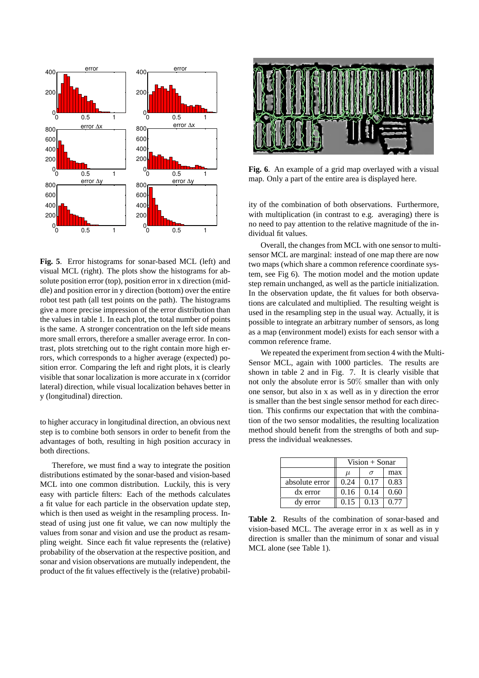

**Fig. 5**. Error histograms for sonar-based MCL (left) and visual MCL (right). The plots show the histograms for absolute position error (top), position error in x direction (middle) and position error in y direction (bottom) over the entire robot test path (all test points on the path). The histograms give a more precise impression of the error distribution than the values in table 1. In each plot, the total number of points is the same. A stronger concentration on the left side means more small errors, therefore a smaller average error. In contrast, plots stretching out to the right contain more high errors, which corresponds to a higher average (expected) position error. Comparing the left and right plots, it is clearly visible that sonar localization is more accurate in x (corridor lateral) direction, while visual localization behaves better in y (longitudinal) direction.

to higher accuracy in longitudinal direction, an obvious next step is to combine both sensors in order to benefit from the advantages of both, resulting in high position accuracy in both directions.

Therefore, we must find a way to integrate the position distributions estimated by the sonar-based and vision-based MCL into one common distribution. Luckily, this is very easy with particle filters: Each of the methods calculates a fit value for each particle in the observation update step, which is then used as weight in the resampling process. Instead of using just one fit value, we can now multiply the values from sonar and vision and use the product as resampling weight. Since each fit value represents the (relative) probability of the observation at the respective position, and sonar and vision observations are mutually independent, the product of the fit values effectively is the (relative) probabil-



**Fig. 6**. An example of a grid map overlayed with a visual map. Only a part of the entire area is displayed here.

ity of the combination of both observations. Furthermore, with multiplication (in contrast to e.g. averaging) there is no need to pay attention to the relative magnitude of the individual fit values.

Overall, the changes from MCL with one sensor to multisensor MCL are marginal: instead of one map there are now two maps (which share a common reference coordinate system, see Fig 6). The motion model and the motion update step remain unchanged, as well as the particle initialization. In the observation update, the fit values for both observations are calculated and multiplied. The resulting weight is used in the resampling step in the usual way. Actually, it is possible to integrate an arbitrary number of sensors, as long as a map (environment model) exists for each sensor with a common reference frame.

We repeated the experiment from section 4 with the Multi-Sensor MCL, again with 1000 particles. The results are shown in table 2 and in Fig. 7. It is clearly visible that not only the absolute error is 50% smaller than with only one sensor, but also in x as well as in y direction the error is smaller than the best single sensor method for each direction. This confirms our expectation that with the combination of the two sensor modalities, the resulting localization method should benefit from the strengths of both and suppress the individual weaknesses.

|                | $Vision + Sonar$ |      |      |  |  |
|----------------|------------------|------|------|--|--|
|                | $\mu$            |      | max  |  |  |
| absolute error | 0.24             | 0.17 | 0.83 |  |  |
| dx error       | 0.16             | 0.14 | 0.60 |  |  |
| dy error       | 0.15             | 0.13 | 0.77 |  |  |

**Table 2**. Results of the combination of sonar-based and vision-based MCL. The average error in x as well as in y direction is smaller than the minimum of sonar and visual MCL alone (see Table 1).